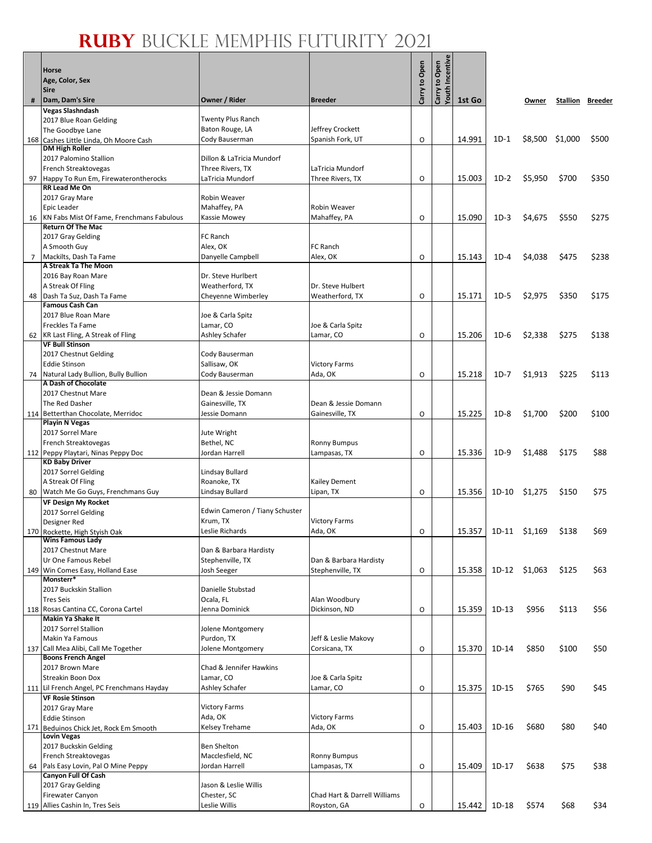# **RUBY** BUCKLE MEMPHIS FUTURITY 2021

 $\mathbf{e}$ 

|     | Horse<br>Age, Color, Sex<br>Sire                                      |                                      |                                 | Carry to Open | Incentiv<br>Carry to Open<br>Youth |        |              |                 |       |                         |
|-----|-----------------------------------------------------------------------|--------------------------------------|---------------------------------|---------------|------------------------------------|--------|--------------|-----------------|-------|-------------------------|
| #   | Dam, Dam's Sire                                                       | Owner / Rider                        | <b>Breeder</b>                  |               |                                    | 1st Go |              | Owner           |       | <b>Stallion Breeder</b> |
|     | Vegas Slashndash                                                      | Twenty Plus Ranch                    |                                 |               |                                    |        |              |                 |       |                         |
|     | 2017 Blue Roan Gelding<br>The Goodbye Lane                            | Baton Rouge, LA                      | Jeffrey Crockett                |               |                                    |        |              |                 |       |                         |
| 168 | Cashes Little Linda, Oh Moore Cash                                    | Cody Bauserman                       | Spanish Fork, UT                | O             |                                    | 14.991 | $1D-1$       | \$8,500 \$1,000 |       | \$500                   |
|     | <b>DM High Roller</b>                                                 |                                      |                                 |               |                                    |        |              |                 |       |                         |
|     | 2017 Palomino Stallion                                                | Dillon & LaTricia Mundorf            | LaTricia Mundorf                |               |                                    |        |              |                 |       |                         |
| 97  | French Streaktovegas<br>Happy To Run Em, Firewaterontherocks          | Three Rivers, TX<br>LaTricia Mundorf | Three Rivers, TX                | O             |                                    | 15.003 | $1D-2$       | \$5,950         | \$700 | \$350                   |
|     | RR Lead Me On                                                         |                                      |                                 |               |                                    |        |              |                 |       |                         |
|     | 2017 Gray Mare                                                        | <b>Robin Weaver</b>                  |                                 |               |                                    |        |              |                 |       |                         |
|     | Epic Leader                                                           | Mahaffey, PA                         | Robin Weaver                    |               |                                    |        |              |                 |       |                         |
| 16  | KN Fabs Mist Of Fame, Frenchmans Fabulous<br><b>Return Of The Mac</b> | Kassie Mowey                         | Mahaffey, PA                    | O             |                                    | 15.090 | $1D-3$       | \$4,675         | \$550 | \$275                   |
|     | 2017 Gray Gelding                                                     | FC Ranch                             |                                 |               |                                    |        |              |                 |       |                         |
|     | A Smooth Guy                                                          | Alex, OK                             | FC Ranch                        |               |                                    |        |              |                 |       |                         |
| 7   | Mackilts, Dash Ta Fame                                                | Danyelle Campbell                    | Alex, OK                        | O             |                                    | 15.143 | $1D-4$       | \$4,038         | \$475 | \$238                   |
|     | A Streak Ta The Moon<br>2016 Bay Roan Mare                            | Dr. Steve Hurlbert                   |                                 |               |                                    |        |              |                 |       |                         |
|     | A Streak Of Fling                                                     | Weatherford, TX                      | Dr. Steve Hulbert               |               |                                    |        |              |                 |       |                         |
| 48  | Dash Ta Suz, Dash Ta Fame                                             | Cheyenne Wimberley                   | Weatherford, TX                 | 0             |                                    | 15.171 | $1D-5$       | \$2,975         | \$350 | \$175                   |
|     | <b>Famous Cash Can</b>                                                |                                      |                                 |               |                                    |        |              |                 |       |                         |
|     | 2017 Blue Roan Mare<br>Freckles Ta Fame                               | Joe & Carla Spitz<br>Lamar, CO       |                                 |               |                                    |        |              |                 |       |                         |
| 62  | KR Last Fling, A Streak of Fling                                      | Ashley Schafer                       | Joe & Carla Spitz<br>Lamar, CO  | O             |                                    | 15.206 | $1D-6$       | \$2,338         | \$275 | \$138                   |
|     | <b>VF Bull Stinson</b>                                                |                                      |                                 |               |                                    |        |              |                 |       |                         |
|     | 2017 Chestnut Gelding                                                 | Cody Bauserman                       |                                 |               |                                    |        |              |                 |       |                         |
|     | <b>Eddie Stinson</b>                                                  | Sallisaw, OK                         | <b>Victory Farms</b>            |               |                                    |        |              |                 |       |                         |
| 74  | Natural Lady Bullion, Bully Bullion<br>A Dash of Chocolate            | Cody Bauserman                       | Ada, OK                         | O             |                                    | 15.218 | $1D-7$       | \$1,913         | \$225 | \$113                   |
|     | 2017 Chestnut Mare                                                    | Dean & Jessie Domann                 |                                 |               |                                    |        |              |                 |       |                         |
|     | The Red Dasher                                                        | Gainesville, TX                      | Dean & Jessie Domann            |               |                                    |        |              |                 |       |                         |
|     | 114 Betterthan Chocolate, Merridoc                                    | Jessie Domann                        | Gainesville, TX                 | O             |                                    | 15.225 | $1D-8$       | \$1,700         | \$200 | \$100                   |
|     | <b>Playin N Vegas</b><br>2017 Sorrel Mare                             | Jute Wright                          |                                 |               |                                    |        |              |                 |       |                         |
|     | French Streaktovegas                                                  | Bethel, NC                           | <b>Ronny Bumpus</b>             |               |                                    |        |              |                 |       |                         |
|     | 112 Peppy Playtari, Ninas Peppy Doc                                   | Jordan Harrell                       | Lampasas, TX                    | O             |                                    | 15.336 | $1D-9$       | \$1,488         | \$175 | \$88                    |
|     | <b>KD Baby Driver</b>                                                 |                                      |                                 |               |                                    |        |              |                 |       |                         |
|     | 2017 Sorrel Gelding<br>A Streak Of Fling                              | Lindsay Bullard<br>Roanoke, TX       | Kailey Dement                   |               |                                    |        |              |                 |       |                         |
|     | 80 Watch Me Go Guys, Frenchmans Guy                                   | Lindsay Bullard                      | Lipan, TX                       | O             |                                    | 15.356 | 1D-10        | \$1,275         | \$150 | \$75                    |
|     | VF Design My Rocket                                                   |                                      |                                 |               |                                    |        |              |                 |       |                         |
|     | 2017 Sorrel Gelding                                                   | Edwin Cameron / Tiany Schuster       |                                 |               |                                    |        |              |                 |       |                         |
|     | Designer Red                                                          | Krum, TX<br>Leslie Richards          | <b>Victory Farms</b><br>Ada, OK | O             |                                    |        | 15.357 1D-11 | \$1.169         | \$138 | \$69                    |
|     | 170 Rockette, High Styish Oak<br>Wins Famous Lady                     |                                      |                                 |               |                                    |        |              |                 |       |                         |
|     | 2017 Chestnut Mare                                                    | Dan & Barbara Hardisty               |                                 |               |                                    |        |              |                 |       |                         |
|     | Ur One Famous Rebel                                                   | Stephenville, TX                     | Dan & Barbara Hardisty          |               |                                    |        |              |                 |       |                         |
| 149 | Win Comes Easy, Holland Ease<br>Monsterr*                             | Josh Seeger                          | Stephenville, TX                | O             |                                    | 15.358 |              | 1D-12 \$1,063   | \$125 | \$63                    |
|     | 2017 Buckskin Stallion                                                | Danielle Stubstad                    |                                 |               |                                    |        |              |                 |       |                         |
|     | <b>Tres Seis</b>                                                      | Ocala, FL                            | Alan Woodbury                   |               |                                    |        |              |                 |       |                         |
|     | 118 Rosas Cantina CC, Corona Cartel                                   | Jenna Dominick                       | Dickinson, ND                   | O             |                                    | 15.359 | $1D-13$      | \$956           | \$113 | \$56                    |
|     | Makin Ya Shake It<br>2017 Sorrel Stallion                             | Jolene Montgomery                    |                                 |               |                                    |        |              |                 |       |                         |
|     | Makin Ya Famous                                                       | Purdon, TX                           | Jeff & Leslie Makovy            |               |                                    |        |              |                 |       |                         |
| 137 | Call Mea Alibi, Call Me Together                                      | Jolene Montgomery                    | Corsicana, TX                   | O             |                                    | 15.370 | 1D-14        | \$850           | \$100 | \$50                    |
|     | <b>Boons French Angel</b>                                             |                                      |                                 |               |                                    |        |              |                 |       |                         |
|     | 2017 Brown Mare<br><b>Streakin Boon Dox</b>                           | Chad & Jennifer Hawkins<br>Lamar, CO | Joe & Carla Spitz               |               |                                    |        |              |                 |       |                         |
|     | 111 Lil French Angel, PC Frenchmans Hayday                            | <b>Ashley Schafer</b>                | Lamar, CO                       | O             |                                    | 15.375 | $1D-15$      | \$765           | \$90  | \$45                    |
|     | <b>VF Rosie Stinson</b>                                               |                                      |                                 |               |                                    |        |              |                 |       |                         |
|     | 2017 Gray Mare                                                        | <b>Victory Farms</b>                 |                                 |               |                                    |        |              |                 |       |                         |
|     | <b>Eddie Stinson</b>                                                  | Ada, OK                              | <b>Victory Farms</b>            | O             |                                    | 15.403 | $1D-16$      | \$680           | \$80  | \$40                    |
| 171 | Beduinos Chick Jet, Rock Em Smooth<br><b>Lovin Vegas</b>              | Kelsey Trehame                       | Ada, OK                         |               |                                    |        |              |                 |       |                         |
|     | 2017 Buckskin Gelding                                                 | <b>Ben Shelton</b>                   |                                 |               |                                    |        |              |                 |       |                         |
|     | French Streaktovegas                                                  | Macclesfield, NC                     | <b>Ronny Bumpus</b>             |               |                                    |        |              |                 |       |                         |
| 64  | Pals Easy Lovin, Pal O Mine Peppy<br>Canyon Full Of Cash              | Jordan Harrell                       | Lampasas, TX                    | O             |                                    | 15.409 | $1D-17$      | \$638           | \$75  | \$38                    |
|     | 2017 Gray Gelding                                                     | Jason & Leslie Willis                |                                 |               |                                    |        |              |                 |       |                         |
|     | Firewater Canyon                                                      | Chester, SC                          | Chad Hart & Darrell Williams    |               |                                    |        |              |                 |       |                         |
|     | 119 Allies Cashin In, Tres Seis                                       | Leslie Willis                        | Royston, GA                     | O             |                                    | 15.442 | 1D-18        | \$574           | \$68  | \$34                    |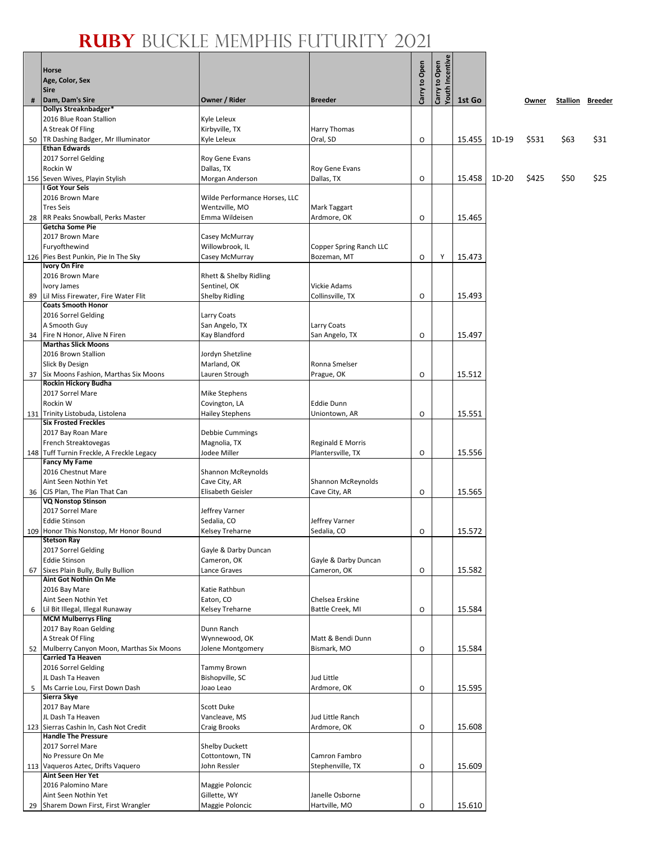#### **RUBY** BUCKLE MEMPHIS FUTURITY 2021 Т

့။

|    | <b>Horse</b><br>Age, Color, Sex<br><b>Sire</b>                   |                                   |                                  | Carry to Open | <b>Youth Incentiv</b><br>Carry to Open |        |       |       |                         |      |
|----|------------------------------------------------------------------|-----------------------------------|----------------------------------|---------------|----------------------------------------|--------|-------|-------|-------------------------|------|
| #  | Dam, Dam's Sire                                                  | Owner / Rider                     | <b>Breeder</b>                   |               |                                        | 1st Go |       | Owner | <b>Stallion Breeder</b> |      |
|    | <b>Dollys Streaknbadger*</b><br>2016 Blue Roan Stallion          | Kyle Leleux                       |                                  |               |                                        |        |       |       |                         |      |
|    | A Streak Of Fling                                                | Kirbyville, TX                    | Harry Thomas                     |               |                                        |        |       |       |                         |      |
|    | 50 TR Dashing Badger, Mr Illuminator                             | Kyle Leleux                       | Oral, SD                         | O             |                                        | 15.455 | 1D-19 | \$531 | \$63                    | \$31 |
|    | <b>Ethan Edwards</b>                                             |                                   |                                  |               |                                        |        |       |       |                         |      |
|    | 2017 Sorrel Gelding                                              | Roy Gene Evans                    |                                  |               |                                        |        |       |       |                         |      |
|    | Rockin W<br>156 Seven Wives, Playin Stylish                      | Dallas, TX                        | Roy Gene Evans                   |               |                                        |        |       |       |                         |      |
|    | <b>I Got Your Seis</b>                                           | Morgan Anderson                   | Dallas, TX                       | $\circ$       |                                        | 15.458 | 1D-20 | \$425 | \$50                    | \$25 |
|    | 2016 Brown Mare                                                  | Wilde Performance Horses, LLC     |                                  |               |                                        |        |       |       |                         |      |
|    | <b>Tres Seis</b>                                                 | Wentzville, MO                    | Mark Taggart                     |               |                                        |        |       |       |                         |      |
|    | 28 RR Peaks Snowball, Perks Master                               | Emma Wildeisen                    | Ardmore, OK                      | O             |                                        | 15.465 |       |       |                         |      |
|    | <b>Getcha Some Pie</b>                                           |                                   |                                  |               |                                        |        |       |       |                         |      |
|    | 2017 Brown Mare<br>Furyofthewind                                 | Casey McMurray<br>Willowbrook, IL | Copper Spring Ranch LLC          |               |                                        |        |       |       |                         |      |
|    | 126 Pies Best Punkin, Pie In The Sky                             | Casey McMurray                    | Bozeman, MT                      | O             | Υ                                      | 15.473 |       |       |                         |      |
|    | <b>Ivory On Fire</b>                                             |                                   |                                  |               |                                        |        |       |       |                         |      |
|    | 2016 Brown Mare                                                  | Rhett & Shelby Ridling            |                                  |               |                                        |        |       |       |                         |      |
|    | Ivory James                                                      | Sentinel, OK                      | <b>Vickie Adams</b>              |               |                                        |        |       |       |                         |      |
| 89 | Lil Miss Firewater, Fire Water Flit<br><b>Coats Smooth Honor</b> | <b>Shelby Ridling</b>             | Collinsville, TX                 | O             |                                        | 15.493 |       |       |                         |      |
|    | 2016 Sorrel Gelding                                              | Larry Coats                       |                                  |               |                                        |        |       |       |                         |      |
|    | A Smooth Guy                                                     | San Angelo, TX                    | Larry Coats                      |               |                                        |        |       |       |                         |      |
|    | 34 Fire N Honor, Alive N Firen                                   | Kay Blandford                     | San Angelo, TX                   | O             |                                        | 15.497 |       |       |                         |      |
|    | <b>Marthas Slick Moons</b><br>2016 Brown Stallion                |                                   |                                  |               |                                        |        |       |       |                         |      |
|    | Slick By Design                                                  | Jordyn Shetzline<br>Marland, OK   | Ronna Smelser                    |               |                                        |        |       |       |                         |      |
|    | 37   Six Moons Fashion, Marthas Six Moons                        | Lauren Strough                    | Prague, OK                       | O             |                                        | 15.512 |       |       |                         |      |
|    | Rockin Hickory Budha                                             |                                   |                                  |               |                                        |        |       |       |                         |      |
|    | 2017 Sorrel Mare                                                 | Mike Stephens                     |                                  |               |                                        |        |       |       |                         |      |
|    | Rockin W                                                         | Covington, LA                     | <b>Eddie Dunn</b>                |               |                                        | 15.551 |       |       |                         |      |
|    | 131 Trinity Listobuda, Listolena<br><b>Six Frosted Freckles</b>  | <b>Hailey Stephens</b>            | Uniontown, AR                    | O             |                                        |        |       |       |                         |      |
|    | 2017 Bay Roan Mare                                               | Debbie Cummings                   |                                  |               |                                        |        |       |       |                         |      |
|    | French Streaktovegas                                             | Magnolia, TX                      | <b>Reginald E Morris</b>         |               |                                        |        |       |       |                         |      |
|    | 148 Tuff Turnin Freckle, A Freckle Legacy                        | Jodee Miller                      | Plantersville, TX                | O             |                                        | 15.556 |       |       |                         |      |
|    | <b>Fancy My Fame</b><br>2016 Chestnut Mare                       | Shannon McReynolds                |                                  |               |                                        |        |       |       |                         |      |
|    | Aint Seen Nothin Yet                                             | Cave City, AR                     | Shannon McReynolds               |               |                                        |        |       |       |                         |      |
|    | 36 CJS Plan, The Plan That Can                                   | Elisabeth Geisler                 | Cave City, AR                    | $\circ$       |                                        | 15.565 |       |       |                         |      |
|    | <b>VQ Nonstop Stinson</b>                                        |                                   |                                  |               |                                        |        |       |       |                         |      |
|    | 2017 Sorrel Mare<br><b>Eddie Stinson</b>                         | Jeffrey Varner                    |                                  |               |                                        |        |       |       |                         |      |
|    | 109 Honor This Nonstop, Mr Honor Bound                           | Sedalia, CO<br>Kelsey Treharne    | Jeffrey Varner<br>Sedalia, CO    | O             |                                        | 15.572 |       |       |                         |      |
|    | <b>Stetson Ray</b>                                               |                                   |                                  |               |                                        |        |       |       |                         |      |
|    | 2017 Sorrel Gelding                                              | Gayle & Darby Duncan              |                                  |               |                                        |        |       |       |                         |      |
|    | <b>Eddie Stinson</b>                                             | Cameron, OK                       | Gayle & Darby Duncan             |               |                                        |        |       |       |                         |      |
| 67 | Sixes Plain Bully, Bully Bullion<br>Aint Got Nothin On Me        | Lance Graves                      | Cameron, OK                      | O             |                                        | 15.582 |       |       |                         |      |
|    | 2016 Bay Mare                                                    | Katie Rathbun                     |                                  |               |                                        |        |       |       |                         |      |
|    | Aint Seen Nothin Yet                                             | Eaton, CO                         | Chelsea Erskine                  |               |                                        |        |       |       |                         |      |
| 6  | Lil Bit Illegal, Illegal Runaway                                 | Kelsey Treharne                   | Battle Creek, MI                 | O             |                                        | 15.584 |       |       |                         |      |
|    | <b>MCM Mulberrys Fling</b>                                       | Dunn Ranch                        |                                  |               |                                        |        |       |       |                         |      |
|    | 2017 Bay Roan Gelding<br>A Streak Of Fling                       | Wynnewood, OK                     | Matt & Bendi Dunn                |               |                                        |        |       |       |                         |      |
|    | 52 Mulberry Canyon Moon, Marthas Six Moons                       | Jolene Montgomery                 | Bismark, MO                      | O             |                                        | 15.584 |       |       |                         |      |
|    | <b>Carried Ta Heaven</b>                                         |                                   |                                  |               |                                        |        |       |       |                         |      |
|    | 2016 Sorrel Gelding                                              | <b>Tammy Brown</b>                |                                  |               |                                        |        |       |       |                         |      |
|    | JL Dash Ta Heaven                                                | Bishopville, SC                   | Jud Little                       |               |                                        |        |       |       |                         |      |
|    | 5 Ms Carrie Lou, First Down Dash<br>Sierra Skye                  | Joao Leao                         | Ardmore, OK                      | O             |                                        | 15.595 |       |       |                         |      |
|    | 2017 Bay Mare                                                    | Scott Duke                        |                                  |               |                                        |        |       |       |                         |      |
|    | JL Dash Ta Heaven                                                | Vancleave, MS                     | Jud Little Ranch                 |               |                                        |        |       |       |                         |      |
|    | 123 Sierras Cashin In, Cash Not Credit                           | Craig Brooks                      | Ardmore, OK                      | 0             |                                        | 15.608 |       |       |                         |      |
|    | <b>Handle The Pressure</b><br>2017 Sorrel Mare                   | <b>Shelby Duckett</b>             |                                  |               |                                        |        |       |       |                         |      |
|    | No Pressure On Me                                                | Cottontown, TN                    | Camron Fambro                    |               |                                        |        |       |       |                         |      |
|    | 113 Vaqueros Aztec, Drifts Vaquero                               | John Ressler                      | Stephenville, TX                 | O             |                                        | 15.609 |       |       |                         |      |
|    | <b>Aint Seen Her Yet</b>                                         |                                   |                                  |               |                                        |        |       |       |                         |      |
|    | 2016 Palomino Mare                                               | Maggie Poloncic                   |                                  |               |                                        |        |       |       |                         |      |
|    | Aint Seen Nothin Yet<br>29 Sharem Down First, First Wrangler     | Gillette, WY<br>Maggie Poloncic   | Janelle Osborne<br>Hartville, MO |               |                                        | 15.610 |       |       |                         |      |
|    |                                                                  |                                   |                                  | O             |                                        |        |       |       |                         |      |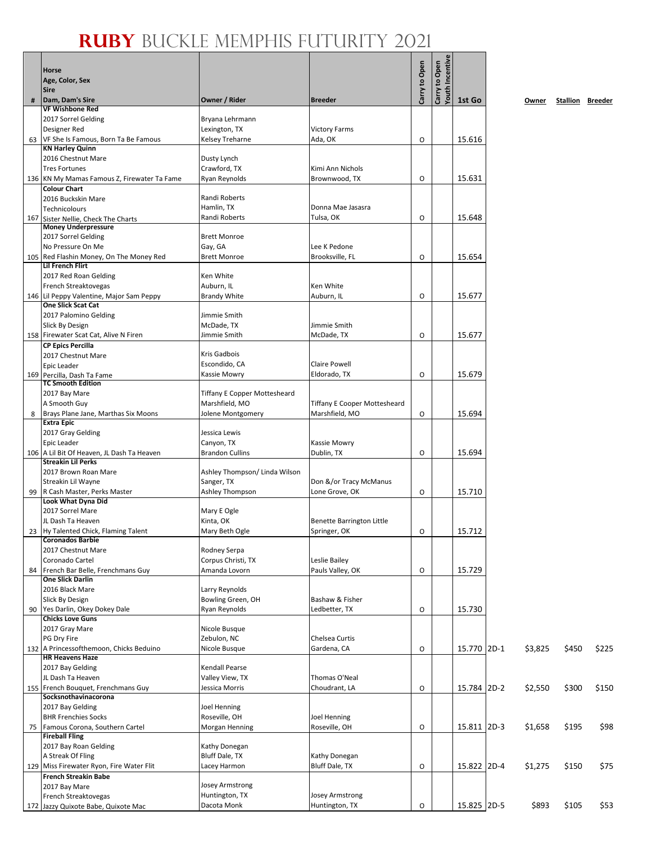**1st Go Owner Stallion Breeder**

|     | Horse<br>Age, Color, Sex<br><b>Sire</b>                      |                                      |                                     | Carry to Open | Incentiv<br>Carry to Open<br>Youth |             |         |                         |       |
|-----|--------------------------------------------------------------|--------------------------------------|-------------------------------------|---------------|------------------------------------|-------------|---------|-------------------------|-------|
| #   | Dam, Dam's Sire                                              | Owner / Rider                        | <b>Breeder</b>                      |               |                                    | 1st Go      | Owner   | <b>Stallion Breeder</b> |       |
|     | <b>VF Wishbone Red</b>                                       |                                      |                                     |               |                                    |             |         |                         |       |
|     | 2017 Sorrel Gelding<br>Designer Red                          | Bryana Lehrmann<br>Lexington, TX     | <b>Victory Farms</b>                |               |                                    |             |         |                         |       |
| 63  | VF She Is Famous, Born Ta Be Famous                          | Kelsey Treharne                      | Ada, OK                             | O             |                                    | 15.616      |         |                         |       |
|     | <b>KN Harley Quinn</b>                                       |                                      |                                     |               |                                    |             |         |                         |       |
|     | 2016 Chestnut Mare                                           | Dusty Lynch                          |                                     |               |                                    |             |         |                         |       |
|     | <b>Tres Fortunes</b>                                         | Crawford, TX                         | Kimi Ann Nichols                    |               |                                    |             |         |                         |       |
|     | 136 KN My Mamas Famous Z, Firewater Ta Fame                  | Ryan Reynolds                        | Brownwood, TX                       | $\circ$       |                                    | 15.631      |         |                         |       |
|     | <b>Colour Chart</b><br>2016 Buckskin Mare                    | Randi Roberts                        |                                     |               |                                    |             |         |                         |       |
|     | <b>Technicolours</b>                                         | Hamlin, TX                           | Donna Mae Jasasra                   |               |                                    |             |         |                         |       |
| 167 | Sister Nellie, Check The Charts                              | Randi Roberts                        | Tulsa, OK                           | 0             |                                    | 15.648      |         |                         |       |
|     | <b>Money Underpressure</b>                                   |                                      |                                     |               |                                    |             |         |                         |       |
|     | 2017 Sorrel Gelding                                          | <b>Brett Monroe</b>                  |                                     |               |                                    |             |         |                         |       |
|     | No Pressure On Me<br>105 Red Flashin Money, On The Money Red | Gay, GA<br><b>Brett Monroe</b>       | Lee K Pedone<br>Brooksville, FL     | O             |                                    | 15.654      |         |                         |       |
|     | <b>Lil French Flirt</b>                                      |                                      |                                     |               |                                    |             |         |                         |       |
|     | 2017 Red Roan Gelding                                        | Ken White                            |                                     |               |                                    |             |         |                         |       |
|     | French Streaktovegas                                         | Auburn, IL                           | Ken White                           |               |                                    |             |         |                         |       |
|     | 146 Lil Peppy Valentine, Major Sam Peppy                     | <b>Brandy White</b>                  | Auburn, IL                          | 0             |                                    | 15.677      |         |                         |       |
|     | <b>One Slick Scat Cat</b>                                    |                                      |                                     |               |                                    |             |         |                         |       |
|     | 2017 Palomino Gelding<br>Slick By Design                     | Jimmie Smith<br>McDade, TX           | Jimmie Smith                        |               |                                    |             |         |                         |       |
|     | 158 Firewater Scat Cat, Alive N Firen                        | Jimmie Smith                         | McDade, TX                          | O             |                                    | 15.677      |         |                         |       |
|     | <b>CP Epics Percilla</b>                                     |                                      |                                     |               |                                    |             |         |                         |       |
|     | 2017 Chestnut Mare                                           | Kris Gadbois                         |                                     |               |                                    |             |         |                         |       |
|     | Epic Leader                                                  | Escondido, CA                        | <b>Claire Powell</b>                |               |                                    |             |         |                         |       |
|     | 169 Percilla, Dash Ta Fame<br><b>TC Smooth Edition</b>       | Kassie Mowry                         | Eldorado, TX                        | 0             |                                    | 15.679      |         |                         |       |
|     | 2017 Bay Mare                                                | <b>Tiffany E Copper Mottesheard</b>  |                                     |               |                                    |             |         |                         |       |
|     | A Smooth Guy                                                 | Marshfield, MO                       | <b>Tiffany E Cooper Mottesheard</b> |               |                                    |             |         |                         |       |
| 8   | Brays Plane Jane, Marthas Six Moons                          | Jolene Montgomery                    | Marshfield, MO                      | O             |                                    | 15.694      |         |                         |       |
|     | <b>Extra Epic</b>                                            |                                      |                                     |               |                                    |             |         |                         |       |
|     | 2017 Gray Gelding                                            | Jessica Lewis                        |                                     |               |                                    |             |         |                         |       |
|     | Epic Leader<br>106   A Lil Bit Of Heaven, JL Dash Ta Heaven  | Canyon, TX<br><b>Brandon Cullins</b> | Kassie Mowry<br>Dublin, TX          | O             |                                    | 15.694      |         |                         |       |
|     | <b>Streakin Lil Perks</b>                                    |                                      |                                     |               |                                    |             |         |                         |       |
|     | 2017 Brown Roan Mare                                         | Ashley Thompson/ Linda Wilson        |                                     |               |                                    |             |         |                         |       |
|     | Streakin Lil Wayne                                           | Sanger, TX                           | Don &/or Tracy McManus              |               |                                    |             |         |                         |       |
|     | 99 R Cash Master, Perks Master                               | Ashley Thompson                      | Lone Grove, OK                      | $\circ$       |                                    | 15.710      |         |                         |       |
|     | Look What Dyna Did<br>2017 Sorrel Mare                       | Mary E Ogle                          |                                     |               |                                    |             |         |                         |       |
|     | JL Dash Ta Heaven                                            | Kinta, OK                            | <b>Benette Barrington Little</b>    |               |                                    |             |         |                         |       |
|     | 23 Hy Talented Chick, Flaming Talent                         | Mary Beth Ogle                       | Springer, OK                        | O             |                                    | 15.712      |         |                         |       |
|     | <b>Coronados Barbie</b>                                      |                                      |                                     |               |                                    |             |         |                         |       |
|     | 2017 Chestnut Mare                                           | Rodney Serpa                         |                                     |               |                                    |             |         |                         |       |
|     | Coronado Cartel<br>French Bar Belle, Frenchmans Guy          | Corpus Christi, TX                   | Leslie Bailey                       |               |                                    |             |         |                         |       |
| 84  | <b>One Slick Darlin</b>                                      | Amanda Lovorn                        | Pauls Valley, OK                    | O             |                                    | 15.729      |         |                         |       |
|     | 2016 Black Mare                                              | Larry Reynolds                       |                                     |               |                                    |             |         |                         |       |
|     | Slick By Design                                              | Bowling Green, OH                    | Bashaw & Fisher                     |               |                                    |             |         |                         |       |
| 90  | Yes Darlin, Okey Dokey Dale                                  | Ryan Reynolds                        | Ledbetter, TX                       | O             |                                    | 15.730      |         |                         |       |
|     | <b>Chicks Love Guns</b><br>2017 Gray Mare                    | Nicole Busque                        |                                     |               |                                    |             |         |                         |       |
|     | PG Dry Fire                                                  | Zebulon, NC                          | Chelsea Curtis                      |               |                                    |             |         |                         |       |
|     | 132 A Princessofthemoon, Chicks Beduino                      | Nicole Busque                        | Gardena, CA                         | O             |                                    | 15.770 2D-1 | \$3,825 | \$450                   | \$225 |
|     | <b>HR Heavens Haze</b>                                       |                                      |                                     |               |                                    |             |         |                         |       |
|     | 2017 Bay Gelding                                             | Kendall Pearse                       |                                     |               |                                    |             |         |                         |       |
|     | JL Dash Ta Heaven<br>155 French Bouquet, Frenchmans Guy      | Valley View, TX                      | Thomas O'Neal                       |               |                                    |             |         |                         |       |
|     | Socksnothavinacorona                                         | Jessica Morris                       | Choudrant, LA                       | O             |                                    | 15.784 2D-2 | \$2,550 | \$300                   | \$150 |
|     | 2017 Bay Gelding                                             | Joel Henning                         |                                     |               |                                    |             |         |                         |       |
|     | <b>BHR Frenchies Socks</b>                                   | Roseville, OH                        | Joel Henning                        |               |                                    |             |         |                         |       |
| 75  | Famous Corona, Southern Cartel                               | Morgan Henning                       | Roseville, OH                       | O             |                                    | 15.811 2D-3 | \$1,658 | \$195                   | \$98  |
|     | <b>Fireball Fling</b>                                        |                                      |                                     |               |                                    |             |         |                         |       |
|     | 2017 Bay Roan Gelding<br>A Streak Of Fling                   | Kathy Donegan<br>Bluff Dale, TX      | Kathy Donegan                       |               |                                    |             |         |                         |       |
|     | 129 Miss Firewater Ryon, Fire Water Flit                     | Lacey Harmon                         | Bluff Dale, TX                      | O             |                                    | 15.822 2D-4 | \$1,275 | \$150                   | \$75  |
|     | <b>French Streakin Babe</b>                                  |                                      |                                     |               |                                    |             |         |                         |       |
|     | 2017 Bay Mare                                                | Josey Armstrong                      |                                     |               |                                    |             |         |                         |       |
|     | French Streaktovegas                                         | Huntington, TX                       | Josey Armstrong                     |               |                                    |             |         |                         |       |
|     | 172 Jazzy Quixote Babe, Quixote Mac                          | Dacota Monk                          | Huntington, TX                      | O             |                                    | 15.825 2D-5 | \$893   | \$105                   | \$53  |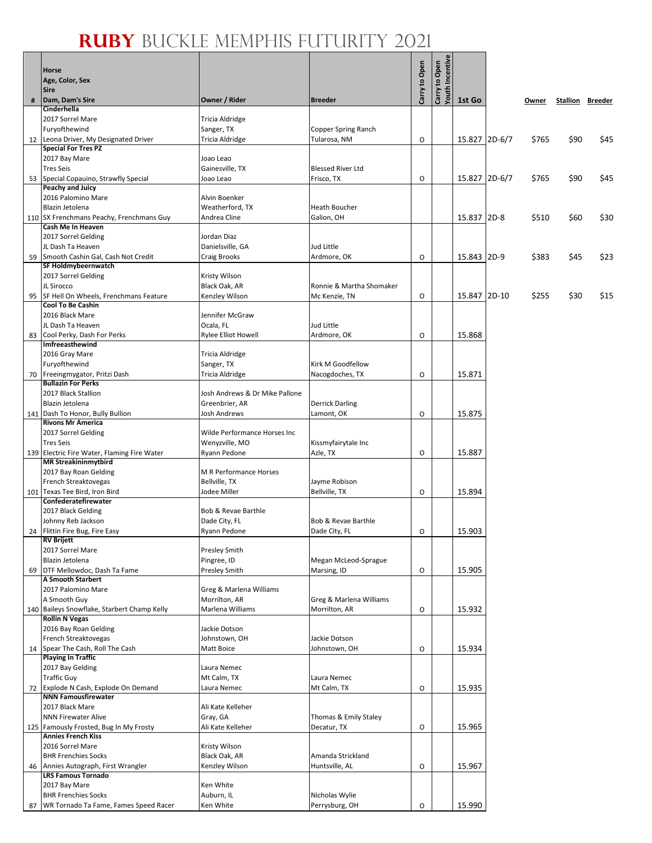$\mathbf{g}$ 

|    | <b>Horse</b><br>Age, Color, Sex<br><b>Sire</b>                             |                                          |                                      | Carry to Open | Incentiv<br>Carry to Open |               |       |                         |      |
|----|----------------------------------------------------------------------------|------------------------------------------|--------------------------------------|---------------|---------------------------|---------------|-------|-------------------------|------|
| #  | Dam, Dam's Sire                                                            | Owner / Rider                            | <b>Breeder</b>                       |               | Youth                     | 1st Go        | Owner | <b>Stallion Breeder</b> |      |
|    | Cinderhella<br>2017 Sorrel Mare                                            | Tricia Aldridge                          |                                      |               |                           |               |       |                         |      |
|    | Furyofthewind                                                              | Sanger, TX                               | Copper Spring Ranch                  |               |                           |               |       |                         |      |
|    | 12 Leona Driver, My Designated Driver                                      | Tricia Aldridge                          | Tularosa, NM                         | O             |                           | 15.827 2D-6/7 | \$765 | \$90                    | \$45 |
|    | <b>Special For Tres PZ</b>                                                 |                                          |                                      |               |                           |               |       |                         |      |
|    | 2017 Bay Mare<br><b>Tres Seis</b>                                          | Joao Leao<br>Gainesville, TX             | <b>Blessed River Ltd</b>             |               |                           |               |       |                         |      |
|    | 53 Special Copauino, Strawfly Special                                      | Joao Leao                                | Frisco, TX                           | O             |                           | 15.827 2D-6/7 | \$765 | \$90                    | \$45 |
|    | <b>Peachy and Juicy</b>                                                    |                                          |                                      |               |                           |               |       |                         |      |
|    | 2016 Palomino Mare                                                         | Alvin Boenker                            |                                      |               |                           |               |       |                         |      |
|    | Blazin Jetolena<br>110 SX Frenchmans Peachy, Frenchmans Guy                | Weatherford, TX<br>Andrea Cline          | Heath Boucher<br>Galion, OH          |               |                           | 15.837 2D-8   | \$510 | \$60                    | \$30 |
|    | Cash Me In Heaven                                                          |                                          |                                      |               |                           |               |       |                         |      |
|    | 2017 Sorrel Gelding                                                        | Jordan Diaz                              |                                      |               |                           |               |       |                         |      |
|    | JL Dash Ta Heaven                                                          | Danielsville, GA                         | Jud Little                           |               |                           |               |       |                         |      |
|    | 59 Smooth Cashin Gal, Cash Not Credit<br>SF Holdmybeernwatch               | Craig Brooks                             | Ardmore, OK                          | O             |                           | 15.843 2D-9   | \$383 | \$45                    | \$23 |
|    | 2017 Sorrel Gelding                                                        | Kristy Wilson                            |                                      |               |                           |               |       |                         |      |
|    | JL Sirocco                                                                 | Black Oak, AR                            | Ronnie & Martha Shomaker             |               |                           |               |       |                         |      |
|    | 95 SF Hell On Wheels, Frenchmans Feature                                   | Kenzley Wilson                           | Mc Kenzie, TN                        | 0             |                           | 15.847 2D-10  | \$255 | \$30                    | \$15 |
|    | <b>Cool To Be Cashin</b><br>2016 Black Mare                                | Jennifer McGraw                          |                                      |               |                           |               |       |                         |      |
|    | JL Dash Ta Heaven                                                          | Ocala, FL                                | <b>Jud Little</b>                    |               |                           |               |       |                         |      |
|    | 83 Cool Perky, Dash For Perks                                              | <b>Rylee Elliot Howell</b>               | Ardmore, OK                          | O             |                           | 15.868        |       |                         |      |
|    | Imfreeasthewind                                                            |                                          |                                      |               |                           |               |       |                         |      |
|    | 2016 Gray Mare<br>Furyofthewind                                            | Tricia Aldridge<br>Sanger, TX            | Kirk M Goodfellow                    |               |                           |               |       |                         |      |
|    | 70 Freeingmygator, Pritzi Dash                                             | Tricia Aldridge                          | Nacogdoches, TX                      | 0             |                           | 15.871        |       |                         |      |
|    | <b>Bullazin For Perks</b>                                                  |                                          |                                      |               |                           |               |       |                         |      |
|    | 2017 Black Stallion                                                        | Josh Andrews & Dr Mike Pallone           |                                      |               |                           |               |       |                         |      |
|    | Blazin Jetolena<br>141 Dash To Honor, Bully Bullion                        | Greenbrier, AR<br>Josh Andrews           | <b>Derrick Darling</b><br>Lamont, OK | O             |                           | 15.875        |       |                         |      |
|    | <b>Rivons Mr America</b>                                                   |                                          |                                      |               |                           |               |       |                         |      |
|    | 2017 Sorrel Gelding                                                        | Wilde Performance Horses Inc             |                                      |               |                           |               |       |                         |      |
|    | <b>Tres Seis</b>                                                           | Wenyzville, MO                           | Kissmyfairytale Inc                  |               |                           |               |       |                         |      |
|    | 139 Electric Fire Water, Flaming Fire Water<br><b>MR Streakininmytbird</b> | Ryann Pedone                             | Azle, TX                             | O             |                           | 15.887        |       |                         |      |
|    | 2017 Bay Roan Gelding                                                      | M R Performance Horses                   |                                      |               |                           |               |       |                         |      |
|    | French Streaktovegas                                                       | Bellville, TX                            | Jayme Robison                        |               |                           |               |       |                         |      |
|    | 101 Texas Tee Bird, Iron Bird<br>Confederatefirewater                      | Jodee Miller                             | Bellville, TX                        | O             |                           | 15.894        |       |                         |      |
|    | 2017 Black Gelding                                                         | Bob & Revae Barthle                      |                                      |               |                           |               |       |                         |      |
|    | Johnny Reb Jackson                                                         | Dade City, FL                            | Bob & Revae Barthle                  |               |                           |               |       |                         |      |
|    | 24 Flittin Fire Bug, Fire Easy                                             | Ryann Pedone                             | Dade City, FL                        | 0             |                           | 15.903        |       |                         |      |
|    | <b>RV Brijett</b><br>2017 Sorrel Mare                                      | Presley Smith                            |                                      |               |                           |               |       |                         |      |
|    | Blazin Jetolena                                                            | Pingree, ID                              | Megan McLeod-Sprague                 |               |                           |               |       |                         |      |
| 69 | DTF Mellowdoc, Dash Ta Fame                                                | <b>Presley Smith</b>                     | Marsing, ID                          | O             |                           | 15.905        |       |                         |      |
|    | A Smooth Starbert                                                          |                                          |                                      |               |                           |               |       |                         |      |
|    | 2017 Palomino Mare<br>A Smooth Guy                                         | Greg & Marlena Williams<br>Morrilton, AR | Greg & Marlena Williams              |               |                           |               |       |                         |      |
|    | 140 Baileys Snowflake, Starbert Champ Kelly                                | Marlena Williams                         | Morrilton, AR                        | O             |                           | 15.932        |       |                         |      |
|    | <b>Rollin N Vegas</b>                                                      |                                          |                                      |               |                           |               |       |                         |      |
|    | 2016 Bay Roan Gelding                                                      | Jackie Dotson                            |                                      |               |                           |               |       |                         |      |
|    | French Streaktovegas<br>14 Spear The Cash, Roll The Cash                   | Johnstown, OH<br>Matt Boice              | Jackie Dotson<br>Johnstown, OH       | O             |                           | 15.934        |       |                         |      |
|    | <b>Playing In Traffic</b>                                                  |                                          |                                      |               |                           |               |       |                         |      |
|    | 2017 Bay Gelding                                                           | Laura Nemec                              |                                      |               |                           |               |       |                         |      |
|    | <b>Traffic Guy</b>                                                         | Mt Calm, TX                              | Laura Nemec                          |               |                           |               |       |                         |      |
|    | 72 Explode N Cash, Explode On Demand<br><b>NNN Famousfirewater</b>         | Laura Nemec                              | Mt Calm, TX                          | O             |                           | 15.935        |       |                         |      |
|    | 2017 Black Mare                                                            | Ali Kate Kelleher                        |                                      |               |                           |               |       |                         |      |
|    | <b>NNN Firewater Alive</b>                                                 | Gray, GA                                 | Thomas & Emily Staley                |               |                           |               |       |                         |      |
|    | 125 Famously Frosted, Bug In My Frosty<br><b>Annies French Kiss</b>        | Ali Kate Kelleher                        | Decatur, TX                          | O             |                           | 15.965        |       |                         |      |
|    | 2016 Sorrel Mare                                                           | Kristy Wilson                            |                                      |               |                           |               |       |                         |      |
|    | <b>BHR Frenchies Socks</b>                                                 | Black Oak, AR                            | Amanda Strickland                    |               |                           |               |       |                         |      |
| 46 | Annies Autograph, First Wrangler                                           | Kenzley Wilson                           | Huntsville, AL                       | O             |                           | 15.967        |       |                         |      |
|    | <b>LRS Famous Tornado</b><br>2017 Bay Mare                                 | Ken White                                |                                      |               |                           |               |       |                         |      |
|    | <b>BHR Frenchies Socks</b>                                                 | Auburn, IL                               | Nicholas Wylie                       |               |                           |               |       |                         |      |
| 87 | WR Tornado Ta Fame, Fames Speed Racer                                      | Ken White                                | Perrysburg, OH                       | O             |                           | 15.990        |       |                         |      |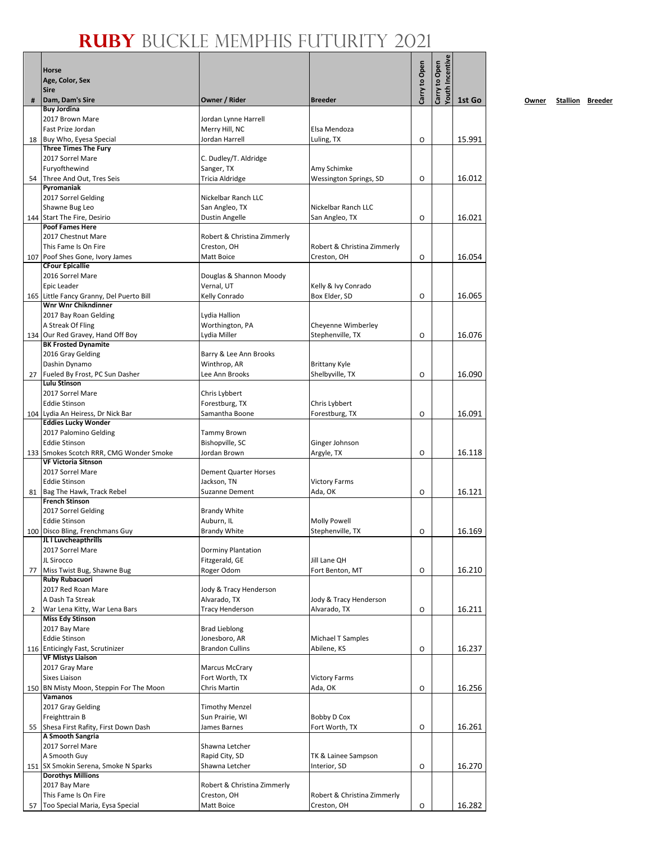|    | Horse<br>Age, Color, Sex<br><b>Sire</b>                        |                                             |                                       | Carry to Open | fouth Incentive<br>Carry to Open |        |
|----|----------------------------------------------------------------|---------------------------------------------|---------------------------------------|---------------|----------------------------------|--------|
| #  | Dam, Dam's Sire                                                | Owner / Rider                               | <b>Breeder</b>                        |               |                                  | 1st Go |
|    | <b>Buy Jordina</b>                                             |                                             |                                       |               |                                  |        |
|    | 2017 Brown Mare                                                | Jordan Lynne Harrell                        |                                       |               |                                  |        |
|    | Fast Prize Jordan                                              | Merry Hill, NC                              | Elsa Mendoza                          |               |                                  |        |
|    | 18 Buy Who, Eyesa Special<br><b>Three Times The Fury</b>       | Jordan Harrell                              | Luling, TX                            | O             |                                  | 15.991 |
|    | 2017 Sorrel Mare                                               | C. Dudley/T. Aldridge                       |                                       |               |                                  |        |
|    | Furyofthewind                                                  | Sanger, TX                                  | Amy Schimke                           |               |                                  |        |
|    | 54 Three And Out, Tres Seis                                    | Tricia Aldridge                             | <b>Wessington Springs, SD</b>         | O             |                                  | 16.012 |
|    | Pyromaniak                                                     |                                             |                                       |               |                                  |        |
|    | 2017 Sorrel Gelding                                            | Nickelbar Ranch LLC                         |                                       |               |                                  |        |
|    | Shawne Bug Leo<br>144 Start The Fire, Desirio                  | San Angleo, TX<br>Dustin Angelle            | Nickelbar Ranch LLC<br>San Angleo, TX | O             |                                  | 16.021 |
|    | <b>Poof Fames Here</b>                                         |                                             |                                       |               |                                  |        |
|    | 2017 Chestnut Mare                                             | Robert & Christina Zimmerly                 |                                       |               |                                  |        |
|    | This Fame Is On Fire                                           | Creston, OH                                 | Robert & Christina Zimmerly           |               |                                  |        |
|    | 107 Poof Shes Gone, Ivory James                                | Matt Boice                                  | Creston, OH                           | O             |                                  | 16.054 |
|    | <b>CFour Epicallie</b><br>2016 Sorrel Mare                     | Douglas & Shannon Moody                     |                                       |               |                                  |        |
|    | Epic Leader                                                    | Vernal, UT                                  | Kelly & Ivy Conrado                   |               |                                  |        |
|    | 165 Little Fancy Granny, Del Puerto Bill                       | Kelly Conrado                               | Box Elder, SD                         | O             |                                  | 16.065 |
|    | <b>Wnr Wnr Chikndinner</b>                                     |                                             |                                       |               |                                  |        |
|    | 2017 Bay Roan Gelding                                          | Lydia Hallion                               |                                       |               |                                  |        |
|    | A Streak Of Fling                                              | Worthington, PA                             | Cheyenne Wimberley                    |               |                                  |        |
|    | 134 Our Red Gravey, Hand Off Boy<br><b>BK Frosted Dynamite</b> | Lydia Miller                                | Stephenville, TX                      | O             |                                  | 16.076 |
|    | 2016 Gray Gelding                                              | Barry & Lee Ann Brooks                      |                                       |               |                                  |        |
|    | Dashin Dynamo                                                  | Winthrop, AR                                | <b>Brittany Kyle</b>                  |               |                                  |        |
| 27 | Fueled By Frost, PC Sun Dasher                                 | Lee Ann Brooks                              | Shelbyville, TX                       | O             |                                  | 16.090 |
|    | Lulu Stinson                                                   |                                             |                                       |               |                                  |        |
|    | 2017 Sorrel Mare                                               | Chris Lybbert                               |                                       |               |                                  |        |
|    | <b>Eddie Stinson</b><br>104 Lydia An Heiress, Dr Nick Bar      | Forestburg, TX<br>Samantha Boone            | Chris Lybbert<br>Forestburg, TX       | O             |                                  | 16.091 |
|    | <b>Eddies Lucky Wonder</b>                                     |                                             |                                       |               |                                  |        |
|    | 2017 Palomino Gelding                                          | Tammy Brown                                 |                                       |               |                                  |        |
|    | <b>Eddie Stinson</b>                                           | Bishopville, SC                             | Ginger Johnson                        |               |                                  |        |
|    | 133 Smokes Scotch RRR, CMG Wonder Smoke                        | Jordan Brown                                | Argyle, TX                            | O             |                                  | 16.118 |
|    | <b>VF Victoria Sitnson</b><br>2017 Sorrel Mare                 |                                             |                                       |               |                                  |        |
|    | <b>Eddie Stinson</b>                                           | <b>Dement Quarter Horses</b><br>Jackson, TN | <b>Victory Farms</b>                  |               |                                  |        |
|    | 81 Bag The Hawk, Track Rebel                                   | Suzanne Dement                              | Ada, OK                               | O             |                                  | 16.121 |
|    | <b>French Stinson</b>                                          |                                             |                                       |               |                                  |        |
|    | 2017 Sorrel Gelding                                            | <b>Brandy White</b>                         |                                       |               |                                  |        |
|    | <b>Eddie Stinson</b>                                           | Auburn, IL                                  | <b>Molly Powell</b>                   |               |                                  |        |
|    | 100 Disco Bling, Frenchmans Guy<br>JL I Luvcheapthrills        | <b>Brandy White</b>                         | Stephenville, TX                      | 0             |                                  | 16.169 |
|    | 2017 Sorrel Mare                                               | Dorminy Plantation                          |                                       |               |                                  |        |
|    | JL Sirocco                                                     | Fitzgerald, GE                              | Jill Lane QH                          |               |                                  |        |
| 77 | Miss Twist Bug, Shawne Bug                                     | Roger Odom                                  | Fort Benton, MT                       | O             |                                  | 16.210 |
|    | <b>Ruby Rubacuori</b>                                          |                                             |                                       |               |                                  |        |
|    | 2017 Red Roan Mare<br>A Dash Ta Streak                         | Jody & Tracy Henderson<br>Alvarado, TX      | Jody & Tracy Henderson                |               |                                  |        |
| 2  | War Lena Kitty, War Lena Bars                                  | <b>Tracy Henderson</b>                      | Alvarado, TX                          | O             |                                  | 16.211 |
|    | <b>Miss Edy Stinson</b>                                        |                                             |                                       |               |                                  |        |
|    | 2017 Bay Mare                                                  | <b>Brad Lieblong</b>                        |                                       |               |                                  |        |
|    | <b>Eddie Stinson</b>                                           | Jonesboro, AR                               | Michael T Samples                     |               |                                  |        |
|    | 116 Enticingly Fast, Scrutinizer<br><b>VF Mistys Liaison</b>   | <b>Brandon Cullins</b>                      | Abilene, KS                           | O             |                                  | 16.237 |
|    | 2017 Gray Mare                                                 | <b>Marcus McCrary</b>                       |                                       |               |                                  |        |
|    | Sixes Liaison                                                  | Fort Worth, TX                              | <b>Victory Farms</b>                  |               |                                  |        |
|    | 150 BN Misty Moon, Steppin For The Moon                        | Chris Martin                                | Ada, OK                               | O             |                                  | 16.256 |
|    | Vamanos                                                        |                                             |                                       |               |                                  |        |
|    | 2017 Gray Gelding                                              | <b>Timothy Menzel</b>                       |                                       |               |                                  |        |
|    | Freighttrain B                                                 | Sun Prairie, WI                             | Bobby D Cox                           |               |                                  |        |
|    | 55 Shesa First Rafity, First Down Dash<br>A Smooth Sangria     | James Barnes                                | Fort Worth, TX                        | O             |                                  | 16.261 |
|    | 2017 Sorrel Mare                                               | Shawna Letcher                              |                                       |               |                                  |        |
|    | A Smooth Guy                                                   | Rapid City, SD                              | TK & Lainee Sampson                   |               |                                  |        |
|    | 151 SX Smokin Serena, Smoke N Sparks                           | Shawna Letcher                              | Interior, SD                          | O             |                                  | 16.270 |
|    | <b>Dorothys Millions</b>                                       |                                             |                                       |               |                                  |        |
|    | 2017 Bay Mare<br>This Fame Is On Fire                          | Robert & Christina Zimmerly<br>Creston, OH  | Robert & Christina Zimmerly           |               |                                  |        |
| 57 | Too Special Maria, Eysa Special                                | Matt Boice                                  | Creston, OH                           | O             |                                  | 16.282 |

**1st Go Owner Stallion Breeder**

 $\overline{\mathbf{r}}$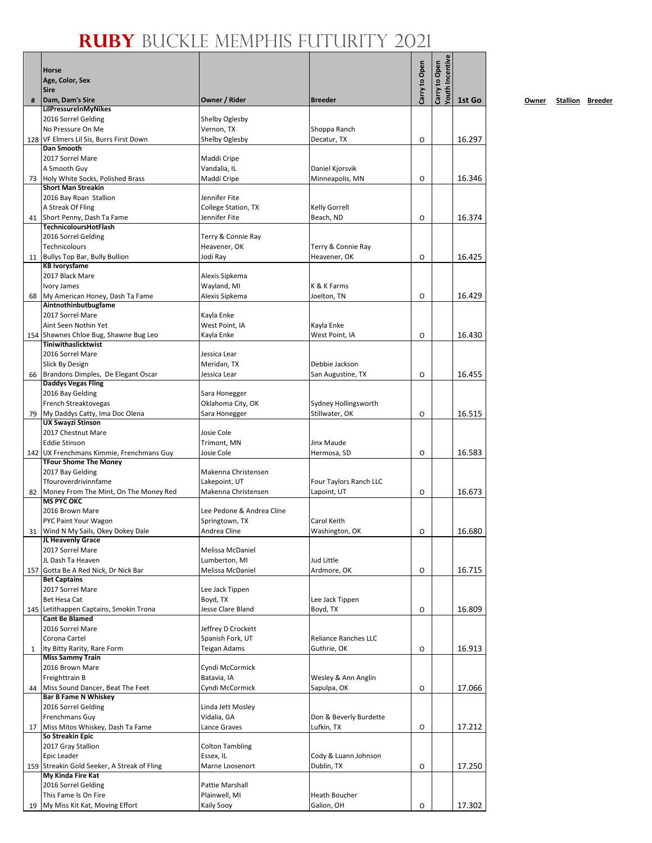|     | <b>Horse</b><br>Age, Color, Sex<br><b>Sire</b>               |                                      |                                            | Carry to Open | outh Incentive<br>Carry to Open |        |
|-----|--------------------------------------------------------------|--------------------------------------|--------------------------------------------|---------------|---------------------------------|--------|
| #   | Dam, Dam's Sire                                              | Owner / Rider                        | <b>Breeder</b>                             |               |                                 | 1st Go |
|     | LilPressureInMyNikes                                         |                                      |                                            |               |                                 |        |
|     | 2016 Sorrel Gelding                                          | Shelby Oglesby                       |                                            |               |                                 |        |
|     | No Pressure On Me                                            | Vernon, TX                           | Shoppa Ranch                               |               |                                 | 16.297 |
|     | 128 VF Elmers Lil Sis, Burrs First Down<br><b>Dan Smooth</b> | Shelby Oglesby                       | Decatur, TX                                | O             |                                 |        |
|     | 2017 Sorrel Mare                                             | Maddi Cripe                          |                                            |               |                                 |        |
|     | A Smooth Guy                                                 | Vandalia, IL                         | Daniel Kjorsvik                            |               |                                 |        |
|     | 73 Holy White Socks, Polished Brass                          | Maddi Cripe                          | Minneapolis, MN                            | O             |                                 | 16.346 |
|     | <b>Short Man Streakin</b>                                    |                                      |                                            |               |                                 |        |
|     | 2016 Bay Roan Stallion                                       | Jennifer Fite                        |                                            |               |                                 |        |
|     | A Streak Of Fling                                            | College Station, TX<br>Jennifer Fite | <b>Kelly Gorrell</b>                       |               |                                 |        |
| 41  | Short Penny, Dash Ta Fame<br>TechnicoloursHotFlash           |                                      | Beach, ND                                  | O             |                                 | 16.374 |
|     | 2016 Sorrel Gelding                                          | Terry & Connie Ray                   |                                            |               |                                 |        |
|     | Technicolours                                                | Heavener, OK                         | Terry & Connie Ray                         |               |                                 |        |
|     | 11 Bullys Top Bar, Bully Bullion                             | Jodi Ray                             | Heavener, OK                               | O             |                                 | 16.425 |
|     | <b>KB Ivorysfame</b>                                         |                                      |                                            |               |                                 |        |
|     | 2017 Black Mare                                              | Alexis Sipkema                       |                                            |               |                                 |        |
|     | Ivory James                                                  | Wayland, MI                          | K & K Farms                                |               |                                 |        |
| 68  | My American Honey, Dash Ta Fame<br>Aintnothinbutbugfame      | Alexis Sipkema                       | Joelton, TN                                | O             |                                 | 16.429 |
|     | 2017 Sorrel Mare                                             | Kayla Enke                           |                                            |               |                                 |        |
|     | Aint Seen Nothin Yet                                         | West Point, IA                       | Kayla Enke                                 |               |                                 |        |
|     | 154 Shawnes Chloe Bug, Shawne Bug Leo                        | Kayla Enke                           | West Point, IA                             | O             |                                 | 16.430 |
|     | Tiniwithaslicktwist                                          |                                      |                                            |               |                                 |        |
|     | 2016 Sorrel Mare                                             | Jessica Lear                         |                                            |               |                                 |        |
|     | Slick By Design                                              | Meridan, TX                          | Debbie Jackson                             |               |                                 |        |
| 66  | Brandons Dimples, De Elegant Oscar                           | Jessica Lear                         | San Augustine, TX                          | O             |                                 | 16.455 |
|     | <b>Daddys Vegas Fling</b><br>2016 Bay Gelding                | Sara Honegger                        |                                            |               |                                 |        |
|     | French Streaktovegas                                         | Oklahoma City, OK                    | Sydney Hollingsworth                       |               |                                 |        |
| 79  | My Daddys Catty, Ima Doc Olena                               | Sara Honegger                        | Stillwater, OK                             | O             |                                 | 16.515 |
|     | <b>UX Swayzi Stinson</b>                                     |                                      |                                            |               |                                 |        |
|     | 2017 Chestnut Mare                                           | Josie Cole                           |                                            |               |                                 |        |
|     | <b>Eddie Stinson</b>                                         | Trimont, MN                          | Jinx Maude                                 |               |                                 |        |
|     | 142 UX Frenchmans Kimmie, Frenchmans Guy                     | Josie Cole                           | Hermosa, SD                                | O             |                                 | 16.583 |
|     | <b>TFour Shome The Money</b><br>2017 Bay Gelding             |                                      |                                            |               |                                 |        |
|     | Tfouroverdrivinnfame                                         | Makenna Christensen<br>Lakepoint, UT | Four Taylors Ranch LLC                     |               |                                 |        |
| 82  | Money From The Mint, On The Money Red                        | Makenna Christensen                  | Lapoint, UT                                | O             |                                 | 16.673 |
|     | <b>MS PYC OKC</b>                                            |                                      |                                            |               |                                 |        |
|     | 2016 Brown Mare                                              | Lee Pedone & Andrea Cline            |                                            |               |                                 |        |
|     | PYC Paint Your Wagon                                         | Springtown, TX                       | Carol Keith                                |               |                                 |        |
|     | 31 Wind N My Sails, Okey Dokey Dale                          | Andrea Cline                         | Washington, OK                             | O             |                                 | 16.680 |
|     | JL Heavenly Grace                                            |                                      |                                            |               |                                 |        |
|     | 2017 Sorrel Mare<br>JL Dash Ta Heaven                        | Melissa McDaniel<br>Lumberton, MI    | Jud Little                                 |               |                                 |        |
| 157 | Gotta Be A Red Nick, Dr Nick Bar                             | Melissa McDaniel                     | Ardmore, OK                                | O             |                                 | 16.715 |
|     | <b>Bet Captains</b>                                          |                                      |                                            |               |                                 |        |
|     | 2017 Sorrel Mare                                             | Lee Jack Tippen                      |                                            |               |                                 |        |
|     | Bet Hesa Cat                                                 | Boyd, TX                             | Lee Jack Tippen                            |               |                                 |        |
|     | 145 Letithappen Captains, Smokin Trona                       | Jesse Clare Bland                    | Boyd, TX                                   | O             |                                 | 16.809 |
|     | <b>Cant Be Blamed</b>                                        |                                      |                                            |               |                                 |        |
|     | 2016 Sorrel Mare<br>Corona Cartel                            | Jeffrey D Crockett                   |                                            |               |                                 |        |
| 1   | Ity Bitty Rarity, Rare Form                                  | Spanish Fork, UT<br>Teigan Adams     | <b>Reliance Ranches LLC</b><br>Guthrie, OK | O             |                                 | 16.913 |
|     | <b>Miss Sammy Train</b>                                      |                                      |                                            |               |                                 |        |
|     | 2016 Brown Mare                                              | Cyndi McCormick                      |                                            |               |                                 |        |
|     | Freighttrain B                                               | Batavia, IA                          | Wesley & Ann Anglin                        |               |                                 |        |
| 44  | Miss Sound Dancer, Beat The Feet                             | Cyndi McCormick                      | Sapulpa, OK                                | O             |                                 | 17.066 |
|     | <b>Bar B Fame N Whiskey</b>                                  |                                      |                                            |               |                                 |        |
|     | 2016 Sorrel Gelding                                          | Linda Jett Mosley                    |                                            |               |                                 |        |
|     | Frenchmans Guy                                               | Vidalia, GA                          | Don & Beverly Burdette                     |               |                                 |        |
| 17  | Miss Mitos Whiskey, Dash Ta Fame<br>So Streakin Epic         | Lance Graves                         | Lufkin, TX                                 | O             |                                 | 17.212 |
|     | 2017 Gray Stallion                                           | <b>Colton Tambling</b>               |                                            |               |                                 |        |
|     | Epic Leader                                                  | Essex, IL                            | Cody & Luann Johnson                       |               |                                 |        |
|     | 159 Streakin Gold Seeker, A Streak of Fling                  | Marne Loosenort                      | Dublin, TX                                 | O             |                                 | 17.250 |
|     | My Kinda Fire Kat                                            |                                      |                                            |               |                                 |        |
|     | 2016 Sorrel Gelding                                          | Pattie Marshall                      |                                            |               |                                 |        |
|     | This Fame Is On Fire                                         | Plainwell, MI                        | Heath Boucher                              |               |                                 |        |
| 19  | My Miss Kit Kat, Moving Effort                               | Kaily Sooy                           | Galion, OH                                 | O             |                                 | 17.302 |

**1st Go Owner Stallion Breeder**

 $\overline{\mathbf{r}}$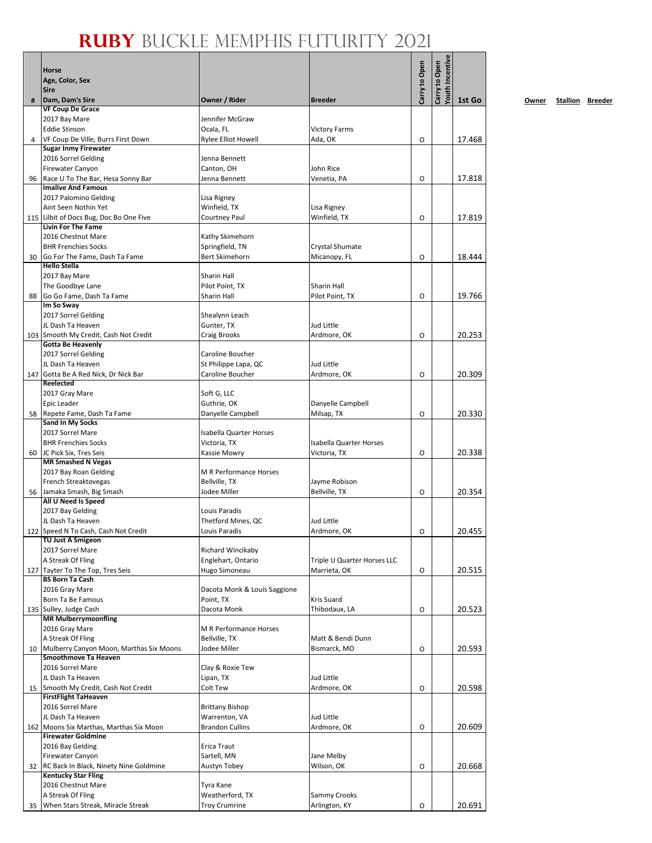|     | Horse<br>Age, Color, Sex<br><b>Sire</b>                             |                                          |                                 | Carry to Open | <b>routh Incentive</b><br>Carry to Open |        |
|-----|---------------------------------------------------------------------|------------------------------------------|---------------------------------|---------------|-----------------------------------------|--------|
| #   | Dam, Dam's Sire                                                     | Owner / Rider                            | <b>Breeder</b>                  |               |                                         | 1st Go |
|     | <b>VF Coup De Grace</b>                                             |                                          |                                 |               |                                         |        |
|     | 2017 Bay Mare<br><b>Eddie Stinson</b>                               | Jennifer McGraw<br>Ocala, FL             |                                 |               |                                         |        |
| 4   | VF Coup De Ville, Burrs First Down                                  | <b>Rylee Elliot Howell</b>               | <b>Victory Farms</b><br>Ada, OK | O             |                                         | 17.468 |
|     | <b>Sugar Inmy Firewater</b>                                         |                                          |                                 |               |                                         |        |
|     | 2016 Sorrel Gelding                                                 | Jenna Bennett                            |                                 |               |                                         |        |
|     | <b>Firewater Canyon</b>                                             | Canton, OH                               | John Rice                       |               |                                         |        |
| 96  | Race U To The Bar, Hesa Sonny Bar<br><b>Imalive And Famous</b>      | Jenna Bennett                            | Venetia, PA                     | O             |                                         | 17.818 |
|     | 2017 Palomino Gelding                                               | Lisa Rigney                              |                                 |               |                                         |        |
|     | Aint Seen Nothin Yet                                                | Winfield, TX                             | Lisa Rigney                     |               |                                         |        |
|     | 115 Lilbit of Docs Bug, Doc Bo One Five                             | Courtney Paul                            | Winfield, TX                    | O             |                                         | 17.819 |
|     | <b>Livin For The Fame</b>                                           |                                          |                                 |               |                                         |        |
|     | 2016 Chestnut Mare<br><b>BHR Frenchies Socks</b>                    | Kathy Skimehorn<br>Springfield, TN       | Crystal Shumate                 |               |                                         |        |
| 30  | Go For The Fame, Dash Ta Fame                                       | <b>Bert Skimehorn</b>                    | Micanopy, FL                    | O             |                                         | 18.444 |
|     | <b>Hello Stella</b>                                                 |                                          |                                 |               |                                         |        |
|     | 2017 Bay Mare                                                       | Sharin Hall                              |                                 |               |                                         |        |
|     | The Goodbye Lane                                                    | Pilot Point, TX                          | Sharin Hall                     |               |                                         |        |
| 88  | Go Go Fame, Dash Ta Fame<br>Im So Sway                              | Sharin Hall                              | Pilot Point, TX                 | O             |                                         | 19.766 |
|     | 2017 Sorrel Gelding                                                 | Shealynn Leach                           |                                 |               |                                         |        |
|     | JL Dash Ta Heaven                                                   | Gunter, TX                               | Jud Little                      |               |                                         |        |
|     | 103 Smooth My Credit, Cash Not Credit                               | Craig Brooks                             | Ardmore, OK                     | O             |                                         | 20.253 |
|     | <b>Gotta Be Heavenly</b>                                            |                                          |                                 |               |                                         |        |
|     | 2017 Sorrel Gelding<br>JL Dash Ta Heaven                            | Caroline Boucher<br>St Philippe Lapa, QC | Jud Little                      |               |                                         |        |
| 147 | Gotta Be A Red Nick, Dr Nick Bar                                    | Caroline Boucher                         | Ardmore, OK                     | O             |                                         | 20.309 |
|     | Reelected                                                           |                                          |                                 |               |                                         |        |
|     | 2017 Gray Mare                                                      | Soft G, LLC                              |                                 |               |                                         |        |
|     | Epic Leader                                                         | Guthrie, OK                              | Danyelle Campbell               |               |                                         |        |
| 58  | Repete Fame, Dash Ta Fame<br><b>Sand In My Socks</b>                | Danyelle Campbell                        | Milsap, TX                      | O             |                                         | 20.330 |
|     | 2017 Sorrel Mare                                                    | <b>Isabella Quarter Horses</b>           |                                 |               |                                         |        |
|     | <b>BHR Frenchies Socks</b>                                          | Victoria, TX                             | <b>Isabella Quarter Horses</b>  |               |                                         |        |
| 60  | JC Pick Six, Tres Seis                                              | Kassie Mowry                             | Victoria, TX                    | O             |                                         | 20.338 |
|     | <b>MR Smashed N Vegas</b>                                           | <b>M R Performance Horses</b>            |                                 |               |                                         |        |
|     | 2017 Bay Roan Gelding<br>French Streaktovegas                       | Bellville, TX                            | Jayme Robison                   |               |                                         |        |
|     | 56 Jamaka Smash, Big Smash                                          | Jodee Miller                             | Bellville, TX                   | O             |                                         | 20.354 |
|     | All U Need Is Speed                                                 |                                          |                                 |               |                                         |        |
|     | 2017 Bay Gelding                                                    | Louis Paradis                            |                                 |               |                                         |        |
|     | JL Dash Ta Heaven                                                   | Thetford Mines, QC                       | Jud Little                      |               |                                         | 20.455 |
|     | 122 Speed N To Cash, Cash Not Credit<br><b>TU Just A Smigeon</b>    | Louis Paradis                            | Ardmore, OK                     | O             |                                         |        |
|     | 2017 Sorrel Mare                                                    | Richard Wincikaby                        |                                 |               |                                         |        |
|     | A Streak Of Fling                                                   | Englehart, Ontario                       | Triple U Quarter Horses LLC     |               |                                         |        |
|     | 127 Tayter To The Top, Tres Seis                                    | Hugo Simoneau                            | Marrieta, OK                    | O             |                                         | 20.515 |
|     | <b>BS Born Ta Cash</b><br>2016 Gray Mare                            | Dacota Monk & Louis Saggione             |                                 |               |                                         |        |
|     | Born Ta Be Famous                                                   | Point, TX                                | Kris Suard                      |               |                                         |        |
|     | 135 Sulley, Judge Cash                                              | Dacota Monk                              | Thibodaux, LA                   | O             |                                         | 20.523 |
|     | <b>MR Mulberrymoonfling</b>                                         |                                          |                                 |               |                                         |        |
|     | 2016 Gray Mare                                                      | M R Performance Horses                   | Matt & Bendi Dunn               |               |                                         |        |
| 10  | A Streak Of Fling<br>Mulberry Canyon Moon, Marthas Six Moons        | Bellville, TX<br>Jodee Miller            | Bismarck, MO                    | O             |                                         | 20.593 |
|     | <b>Smoothmove Ta Heaven</b>                                         |                                          |                                 |               |                                         |        |
|     | 2016 Sorrel Mare                                                    | Clay & Roxie Tew                         |                                 |               |                                         |        |
|     | JL Dash Ta Heaven                                                   | Lipan, TX                                | Jud Little                      |               |                                         |        |
|     | 15 Smooth My Credit, Cash Not Credit<br><b>FirstFlight TaHeaven</b> | Colt Tew                                 | Ardmore, OK                     | O             |                                         | 20.598 |
|     | 2016 Sorrel Mare                                                    | <b>Brittany Bishop</b>                   |                                 |               |                                         |        |
|     | JL Dash Ta Heaven                                                   | Warrenton, VA                            | <b>Jud Little</b>               |               |                                         |        |
|     | 162 Moons Six Marthas, Marthas Six Moon                             | <b>Brandon Cullins</b>                   | Ardmore, OK                     | O             |                                         | 20.609 |
|     | <b>Firewater Goldmine</b>                                           |                                          |                                 |               |                                         |        |
|     | 2016 Bay Gelding                                                    | Erica Traut                              |                                 |               |                                         |        |
| 32  | <b>Firewater Canyon</b><br>RC Back In Black, Ninety Nine Goldmine   | Sartell, MN<br>Austyn Tobey              | Jane Melby<br>Wilson, OK        | O             |                                         | 20.668 |
|     | <b>Kentucky Star Fling</b>                                          |                                          |                                 |               |                                         |        |
|     | 2016 Chestnut Mare                                                  | Tyra Kane                                |                                 |               |                                         |        |
|     | A Streak Of Fling                                                   | Weatherford, TX                          | Sammy Crooks                    |               |                                         |        |
| 35  | When Stars Streak, Miracle Streak                                   | <b>Troy Crumrine</b>                     | Arlington, KY                   | O             |                                         | 20.691 |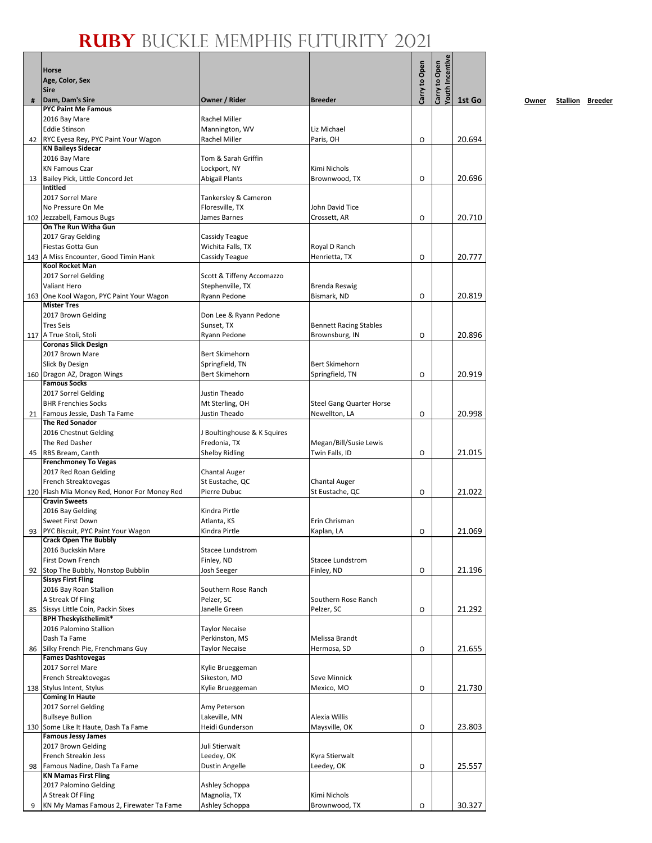# **RUBY** BUCKLE MEMPHIS FUTURITY 2021

|    | RUBY BUCKLE                                                          |                                               |                                         |               |                                         |        |
|----|----------------------------------------------------------------------|-----------------------------------------------|-----------------------------------------|---------------|-----------------------------------------|--------|
|    | <b>Horse</b><br>Age, Color, Sex<br><b>Sire</b>                       |                                               |                                         | Carry to Open | <b>/outh Incentive</b><br>Carry to Open |        |
| #  | Dam, Dam's Sire                                                      | Owner / Rider                                 | <b>Breeder</b>                          |               |                                         | 1st Go |
|    | <b>PYC Paint Me Famous</b>                                           |                                               |                                         |               |                                         |        |
|    | 2016 Bay Mare                                                        | Rachel Miller                                 |                                         |               |                                         |        |
| 42 | <b>Eddie Stinson</b><br>RYC Eyesa Rey, PYC Paint Your Wagon          | Mannington, WV<br>Rachel Miller               | Liz Michael<br>Paris, OH                | O             |                                         | 20.694 |
|    | <b>KN Baileys Sidecar</b>                                            |                                               |                                         |               |                                         |        |
|    | 2016 Bay Mare                                                        | Tom & Sarah Griffin                           |                                         |               |                                         |        |
|    | <b>KN Famous Czar</b>                                                | Lockport, NY                                  | Kimi Nichols                            |               |                                         |        |
| 13 | Bailey Pick, Little Concord Jet                                      | Abigail Plants                                | Brownwood, TX                           | O             |                                         | 20.696 |
|    | <b>Intitled</b>                                                      |                                               |                                         |               |                                         |        |
|    | 2017 Sorrel Mare                                                     | Tankersley & Cameron                          |                                         |               |                                         |        |
|    | No Pressure On Me<br>102 Jezzabell, Famous Bugs                      | Floresville, TX<br>James Barnes               | John David Tice<br>Crossett, AR         | O             |                                         | 20.710 |
|    | On The Run Witha Gun                                                 |                                               |                                         |               |                                         |        |
|    | 2017 Gray Gelding                                                    | Cassidy Teague                                |                                         |               |                                         |        |
|    | Fiestas Gotta Gun                                                    | Wichita Falls, TX                             | Royal D Ranch                           |               |                                         |        |
|    | 143 A Miss Encounter, Good Timin Hank                                | Cassidy Teague                                | Henrietta, TX                           | O             |                                         | 20.777 |
|    | <b>Kool Rocket Man</b>                                               |                                               |                                         |               |                                         |        |
|    | 2017 Sorrel Gelding<br>Valiant Hero                                  | Scott & Tiffeny Accomazzo<br>Stephenville, TX | Brenda Reswig                           |               |                                         |        |
|    | 163 One Kool Wagon, PYC Paint Your Wagon                             | Ryann Pedone                                  | Bismark, ND                             | O             |                                         | 20.819 |
|    | <b>Mister Tres</b>                                                   |                                               |                                         |               |                                         |        |
|    | 2017 Brown Gelding                                                   | Don Lee & Ryann Pedone                        |                                         |               |                                         |        |
|    | <b>Tres Seis</b>                                                     | Sunset, TX                                    | <b>Bennett Racing Stables</b>           |               |                                         |        |
|    | 117 A True Stoli, Stoli                                              | Ryann Pedone                                  | Brownsburg, IN                          | O             |                                         | 20.896 |
|    | <b>Coronas Slick Design</b><br>2017 Brown Mare                       | Bert Skimehorn                                |                                         |               |                                         |        |
|    | Slick By Design                                                      | Springfield, TN                               | Bert Skimehorn                          |               |                                         |        |
|    | 160 Dragon AZ, Dragon Wings                                          | <b>Bert Skimehorn</b>                         | Springfield, TN                         | O             |                                         | 20.919 |
|    | <b>Famous Socks</b>                                                  |                                               |                                         |               |                                         |        |
|    | 2017 Sorrel Gelding                                                  | Justin Theado                                 |                                         |               |                                         |        |
|    | <b>BHR Frenchies Socks</b>                                           | Mt Sterling, OH                               | <b>Steel Gang Quarter Horse</b>         |               |                                         |        |
| 21 | Famous Jessie, Dash Ta Fame<br><b>The Red Sonador</b>                | Justin Theado                                 | Newellton, LA                           | $\circ$       |                                         | 20.998 |
|    | 2016 Chestnut Gelding                                                | J Boultinghouse & K Squires                   |                                         |               |                                         |        |
|    | The Red Dasher                                                       | Fredonia, TX                                  | Megan/Bill/Susie Lewis                  |               |                                         |        |
| 45 | RBS Bream, Canth                                                     | <b>Shelby Ridling</b>                         | Twin Falls, ID                          | O             |                                         | 21.015 |
|    | <b>Frenchmoney To Vegas</b>                                          |                                               |                                         |               |                                         |        |
|    | 2017 Red Roan Gelding                                                | <b>Chantal Auger</b>                          |                                         |               |                                         |        |
|    | French Streaktovegas<br>120 Flash Mia Money Red, Honor For Money Red | St Eustache, QC<br>Pierre Dubuc               | <b>Chantal Auger</b><br>St Eustache, QC |               |                                         | 21.022 |
|    | <b>Cravin Sweets</b>                                                 |                                               |                                         | O             |                                         |        |
|    | 2016 Bay Gelding                                                     | Kindra Pirtle                                 |                                         |               |                                         |        |
|    | Sweet First Down                                                     | Atlanta, KS                                   | Erin Chrisman                           |               |                                         |        |
| 93 | PYC Biscuit, PYC Paint Your Wagon                                    | Kindra Pirtle                                 | Kaplan, LA                              | O             |                                         | 21.069 |
|    | <b>Crack Open The Bubbly</b>                                         |                                               |                                         |               |                                         |        |
|    | 2016 Buckskin Mare<br>First Down French                              | Stacee Lundstrom<br>Finley, ND                | <b>Stacee Lundstrom</b>                 |               |                                         |        |
| 92 | Stop The Bubbly, Nonstop Bubblin                                     | Josh Seeger                                   | Finley, ND                              | O             |                                         | 21.196 |
|    | <b>Sissys First Fling</b>                                            |                                               |                                         |               |                                         |        |
|    | 2016 Bay Roan Stallion                                               | Southern Rose Ranch                           |                                         |               |                                         |        |
|    | A Streak Of Fling                                                    | Pelzer, SC                                    | Southern Rose Ranch                     |               |                                         |        |
| 85 | Sissys Little Coin, Packin Sixes<br><b>BPH Theskyisthelimit*</b>     | Janelle Green                                 | Pelzer, SC                              | O             |                                         | 21.292 |
|    | 2016 Palomino Stallion                                               | <b>Taylor Necaise</b>                         |                                         |               |                                         |        |
|    | Dash Ta Fame                                                         | Perkinston, MS                                | Melissa Brandt                          |               |                                         |        |
| 86 | Silky French Pie, Frenchmans Guy                                     | <b>Taylor Necaise</b>                         | Hermosa, SD                             | O             |                                         | 21.655 |
|    | <b>Fames Dashtovegas</b>                                             |                                               |                                         |               |                                         |        |
|    | 2017 Sorrel Mare<br>French Streaktovegas                             | Kylie Brueggeman<br>Sikeston, MO              | Seve Minnick                            |               |                                         |        |
|    | 138 Stylus Intent, Stylus                                            | Kylie Brueggeman                              | Mexico, MO                              | O             |                                         | 21.730 |
|    | <b>Coming In Haute</b>                                               |                                               |                                         |               |                                         |        |
|    | 2017 Sorrel Gelding                                                  | Amy Peterson                                  |                                         |               |                                         |        |
|    | <b>Bullseye Bullion</b>                                              | Lakeville, MN                                 | Alexia Willis                           |               |                                         |        |
|    | 130 Some Like It Haute, Dash Ta Fame<br><b>Famous Jessy James</b>    | Heidi Gunderson                               | Maysville, OK                           | O             |                                         | 23.803 |
|    | 2017 Brown Gelding                                                   | Juli Stierwalt                                |                                         |               |                                         |        |
|    | French Streakin Jess                                                 | Leedey, OK                                    | Kyra Stierwalt                          |               |                                         |        |
| 98 | Famous Nadine, Dash Ta Fame                                          | Dustin Angelle                                | Leedey, OK                              | O             |                                         | 25.557 |
|    | <b>KN Mamas First Fling</b>                                          |                                               |                                         |               |                                         |        |
|    | 2017 Palomino Gelding<br>A Streak Of Fling                           | Ashley Schoppa<br>Magnolia, TX                | Kimi Nichols                            |               |                                         |        |
| 9  | KN My Mamas Famous 2, Firewater Ta Fame                              | Ashley Schoppa                                | Brownwood, TX                           | O             |                                         | 30.327 |
|    |                                                                      |                                               |                                         |               |                                         |        |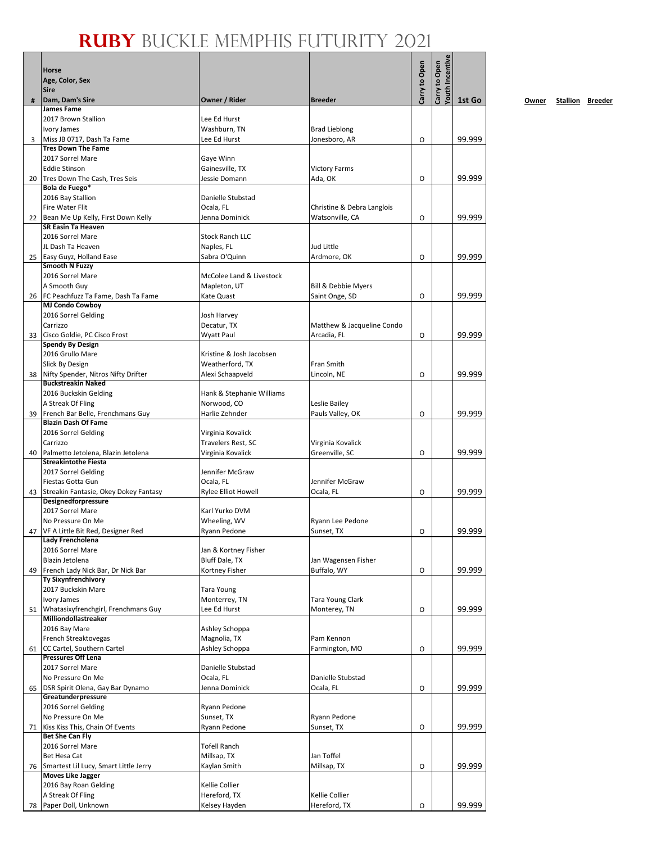|    | Horse<br>Age, Color, Sex<br><b>Sire</b>                            |                                      |                                    | Carry to Open | <b>routh Incentive</b><br>Carry to Open |        |
|----|--------------------------------------------------------------------|--------------------------------------|------------------------------------|---------------|-----------------------------------------|--------|
| #  | Dam, Dam's Sire                                                    | Owner / Rider                        | <b>Breeder</b>                     |               |                                         | 1st Go |
|    | <b>James Fame</b>                                                  |                                      |                                    |               |                                         |        |
|    | 2017 Brown Stallion<br><b>Ivory James</b>                          | Lee Ed Hurst<br>Washburn, TN         | <b>Brad Lieblong</b>               |               |                                         |        |
| 3  | Miss JB 0717, Dash Ta Fame                                         | Lee Ed Hurst                         | Jonesboro, AR                      | 0             |                                         | 99.999 |
|    | <b>Tres Down The Fame</b>                                          |                                      |                                    |               |                                         |        |
|    | 2017 Sorrel Mare                                                   | Gaye Winn                            |                                    |               |                                         |        |
|    | <b>Eddie Stinson</b>                                               | Gainesville, TX                      | <b>Victory Farms</b>               |               |                                         |        |
| 20 | Tres Down The Cash, Tres Seis<br>Bola de Fuego*                    | Jessie Domann                        | Ada, OK                            | O             |                                         | 99.999 |
|    | 2016 Bay Stallion                                                  | Danielle Stubstad                    |                                    |               |                                         |        |
|    | Fire Water Flit                                                    | Ocala, FL                            | Christine & Debra Langlois         |               |                                         |        |
|    | 22 Bean Me Up Kelly, First Down Kelly                              | Jenna Dominick                       | Watsonville, CA                    | 0             |                                         | 99.999 |
|    | <b>SR Easin Ta Heaven</b>                                          |                                      |                                    |               |                                         |        |
|    | 2016 Sorrel Mare<br>JL Dash Ta Heaven                              | <b>Stock Ranch LLC</b><br>Naples, FL | Jud Little                         |               |                                         |        |
|    | 25 Easy Guyz, Holland Ease                                         | Sabra O'Quinn                        | Ardmore, OK                        | O             |                                         | 99.999 |
|    | Smooth N Fuzzy                                                     |                                      |                                    |               |                                         |        |
|    | 2016 Sorrel Mare                                                   | McColee Land & Livestock             |                                    |               |                                         |        |
|    | A Smooth Guy                                                       | Mapleton, UT                         | Bill & Debbie Myers                |               |                                         |        |
|    | 26 FC Peachfuzz Ta Fame, Dash Ta Fame<br><b>MJ Condo Cowboy</b>    | Kate Quast                           | Saint Onge, SD                     | O             |                                         | 99.999 |
|    | 2016 Sorrel Gelding                                                | Josh Harvey                          |                                    |               |                                         |        |
|    | Carrizzo                                                           | Decatur, TX                          | Matthew & Jacqueline Condo         |               |                                         |        |
| 33 | Cisco Goldie, PC Cisco Frost                                       | <b>Wyatt Paul</b>                    | Arcadia, FL                        | 0             |                                         | 99.999 |
|    | <b>Spendy By Design</b><br>2016 Grullo Mare                        | Kristine & Josh Jacobsen             |                                    |               |                                         |        |
|    | Slick By Design                                                    | Weatherford, TX                      | Fran Smith                         |               |                                         |        |
| 38 | Nifty Spender, Nitros Nifty Drifter                                | Alexi Schaapveld                     | Lincoln, NE                        | O             |                                         | 99.999 |
|    | <b>Buckstreakin Naked</b>                                          |                                      |                                    |               |                                         |        |
|    | 2016 Buckskin Gelding                                              | Hank & Stephanie Williams            |                                    |               |                                         |        |
| 39 | A Streak Of Fling<br>French Bar Belle, Frenchmans Guy              | Norwood, CO<br>Harlie Zehnder        | Leslie Bailey<br>Pauls Valley, OK  | 0             |                                         | 99.999 |
|    | <b>Blazin Dash Of Fame</b>                                         |                                      |                                    |               |                                         |        |
|    | 2016 Sorrel Gelding                                                | Virginia Kovalick                    |                                    |               |                                         |        |
|    | Carrizzo                                                           | Travelers Rest, SC                   | Virginia Kovalick                  |               |                                         |        |
| 40 | Palmetto Jetolena, Blazin Jetolena<br><b>Streakintothe Fiesta</b>  | Virginia Kovalick                    | Greenville, SC                     | O             |                                         | 99.999 |
|    | 2017 Sorrel Gelding                                                | Jennifer McGraw                      |                                    |               |                                         |        |
|    | Fiestas Gotta Gun                                                  | Ocala, FL                            | Jennifer McGraw                    |               |                                         |        |
|    | 43 Streakin Fantasie, Okey Dokey Fantasy                           | Rylee Elliot Howell                  | Ocala, FL                          | 0             |                                         | 99.999 |
|    | Designedforpressure                                                | Karl Yurko DVM                       |                                    |               |                                         |        |
|    | 2017 Sorrel Mare<br>No Pressure On Me                              | Wheeling, WV                         | Ryann Lee Pedone                   |               |                                         |        |
| 47 | VF A Little Bit Red, Designer Red                                  | Ryann Pedone                         | Sunset, TX                         | O             |                                         | 99.999 |
|    | Lady Frencholena                                                   |                                      |                                    |               |                                         |        |
|    | 2016 Sorrel Mare                                                   | Jan & Kortney Fisher                 |                                    |               |                                         |        |
| 49 | Blazin Jetolena<br>French Lady Nick Bar, Dr Nick Bar               | Bluff Dale, TX<br>Kortney Fisher     | Jan Wagensen Fisher<br>Buffalo, WY | O             |                                         | 99.999 |
|    | <b>Ty Sixynfrenchivory</b>                                         |                                      |                                    |               |                                         |        |
|    | 2017 Buckskin Mare                                                 | Tara Young                           |                                    |               |                                         |        |
|    | Ivory James                                                        | Monterrey, TN                        | Tara Young Clark                   |               |                                         |        |
| 51 | Whatasixyfrenchgirl, Frenchmans Guy<br><b>Milliondollastreaker</b> | Lee Ed Hurst                         | Monterey, TN                       | O             |                                         | 99.999 |
|    | 2016 Bay Mare                                                      | Ashley Schoppa                       |                                    |               |                                         |        |
|    | French Streaktovegas                                               | Magnolia, TX                         | Pam Kennon                         |               |                                         |        |
| 61 | CC Cartel, Southern Cartel                                         | Ashley Schoppa                       | Farmington, MO                     | O             |                                         | 99.999 |
|    | <b>Pressures Off Lena</b>                                          | Danielle Stubstad                    |                                    |               |                                         |        |
|    | 2017 Sorrel Mare<br>No Pressure On Me                              | Ocala, FL                            | Danielle Stubstad                  |               |                                         |        |
| 65 | DSR Spirit Olena, Gay Bar Dynamo                                   | Jenna Dominick                       | Ocala, FL                          | O             |                                         | 99.999 |
|    | Greatunderpressure                                                 |                                      |                                    |               |                                         |        |
|    | 2016 Sorrel Gelding                                                | Ryann Pedone                         |                                    |               |                                         |        |
| 71 | No Pressure On Me<br>Kiss Kiss This, Chain Of Events               | Sunset, TX<br>Ryann Pedone           | Ryann Pedone<br>Sunset, TX         | O             |                                         | 99.999 |
|    | <b>Bet She Can Fly</b>                                             |                                      |                                    |               |                                         |        |
|    | 2016 Sorrel Mare                                                   | <b>Tofell Ranch</b>                  |                                    |               |                                         |        |
|    | Bet Hesa Cat                                                       | Millsap, TX                          | Jan Toffel                         |               |                                         |        |
| 76 | Smartest Lil Lucy, Smart Little Jerry<br><b>Moves Like Jagger</b>  | Kaylan Smith                         | Millsap, TX                        | O             |                                         | 99.999 |
|    | 2016 Bay Roan Gelding                                              | Kellie Collier                       |                                    |               |                                         |        |
|    | A Streak Of Fling                                                  | Hereford, TX                         | Kellie Collier                     |               |                                         |        |
| 78 | Paper Doll, Unknown                                                | Kelsey Hayden                        | Hereford, TX                       | O             |                                         | 99.999 |